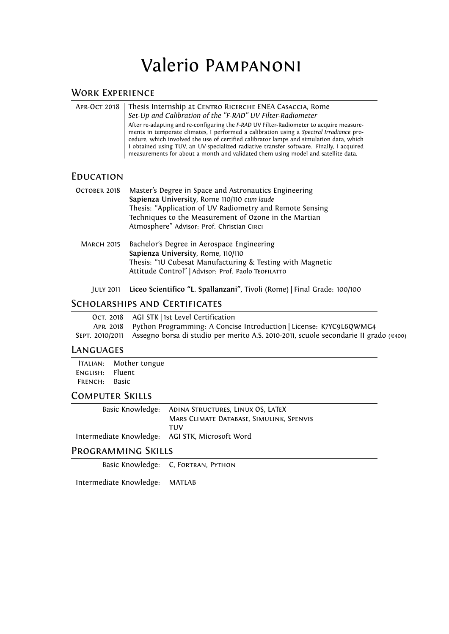# Valerio Pampanoni

### Work Experience

| APR-OCT 2018   Thesis Internship at CENTRO RICERCHE ENEA CASACCIA, Rome<br>Set-Up and Calibration of the "F-RAD" UV Filter-Radiometer                                                                                                                                                                                                                                                                                                                                        |  |
|------------------------------------------------------------------------------------------------------------------------------------------------------------------------------------------------------------------------------------------------------------------------------------------------------------------------------------------------------------------------------------------------------------------------------------------------------------------------------|--|
| After re-adapting and re-configuring the <i>F-RAD</i> UV Filter-Radiometer to acquire measure-<br>ments in temperate climates, I performed a calibration using a <i>Spectral Irradiance</i> pro-<br>cedure, which involved the use of certified calibrator lamps and simulation data, which<br>I obtained using TUV, an UV-specialized radiative transfer software. Finally, I acquired<br>measurements for about a month and validated them using model and satellite data. |  |

#### **EDUCATION**

| OCTOBER 2018      | Master's Degree in Space and Astronautics Engineering<br>Sapienza University, Rome 110/110 cum laude<br>Thesis: "Application of UV Radiometry and Remote Sensing<br>Techniques to the Measurement of Ozone in the Martian<br>Atmosphere" Advisor: Prof. Christian CIRCI |
|-------------------|-------------------------------------------------------------------------------------------------------------------------------------------------------------------------------------------------------------------------------------------------------------------------|
| <b>MARCH 2015</b> | Bachelor's Degree in Aerospace Engineering<br>Sapienza University, Rome, 110/110<br>Thesis: "1U Cubesat Manufacturing & Testing with Magnetic<br>Attitude Control"   Advisor: Prof. Paolo TEOFILATTO                                                                    |
| <b>JULY 2011</b>  | Liceo Scientifico "L. Spallanzani", Tivoli (Rome)   Final Grade: 100/100                                                                                                                                                                                                |

## SCHOLARSHIPS AND CERTIFICATES

| OCT. 2018 AGI STK   1st Level Certification                                                          |
|------------------------------------------------------------------------------------------------------|
| APR 2018 Python Programming: A Concise Introduction   License: K7YC9L6QWMG4                          |
| SEPT. 2010/2011 Assegno borsa di studio per merito A.S. 2010-2011, scuole secondarie II grado (€400) |

#### **LANGUAGES**

ITALIAN: Mother tongue English: Fluent French: Basic

## Computer Skills

|                                                 | Basic Knowledge: ADINA STRUCTURES, LINUX OS, LATEX |
|-------------------------------------------------|----------------------------------------------------|
|                                                 | <b>MARS CLIMATE DATABASE, SIMULINK, SPENVIS</b>    |
|                                                 | <b>THV</b>                                         |
| Intermediate Knowledge: AGI STK, Microsoft Word |                                                    |

#### Programming Skills

Basic Knowledge: C, FORTRAN, PYTHON

Intermediate Knowledge: MATLAB